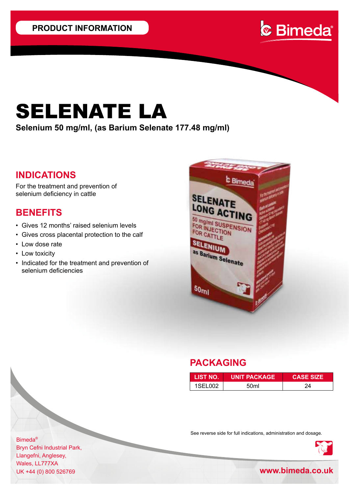

# SELENATE LA

**Selenium 50 mg/ml, (as Barium Selenate 177.48 mg/ml)**

## **INDICATIONS**

For the treatment and prevention of selenium deficiency in cattle

## **BENEFITS**

- Gives 12 months' raised selenium levels
- Gives cross placental protection to the calf
- Low dose rate
- Low toxicity
- Indicated for the treatment and prevention of selenium deficiencies



## **PACKAGING**

| <b>LIST NO.</b> | UNIT PACKAGE! | <b>CASE SIZE</b> |
|-----------------|---------------|------------------|
| 1SEL002         | 50ml          | 24               |

See reverse side for full indications, administration and dosage.



Bimeda® Bryn Cefni Industrial Park, Llangefni, Anglesey, Wales, LL777XA

UK +44 (0) 800 526769 **www.bimeda.co.uk**